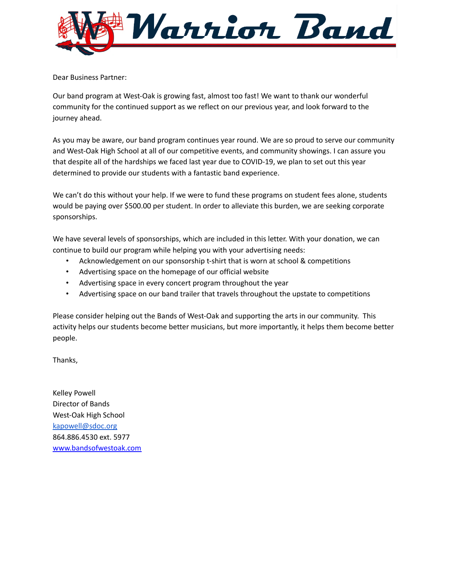

Dear Business Partner:

Our band program at West-Oak is growing fast, almost too fast! We want to thank our wonderful community for the continued support as we reflect on our previous year, and look forward to the journey ahead.

As you may be aware, our band program continues year round. We are so proud to serve our community and West-Oak High School at all of our competitive events, and community showings. I can assure you that despite all of the hardships we faced last year due to COVID-19, we plan to set out this year determined to provide our students with a fantastic band experience.

We can't do this without your help. If we were to fund these programs on student fees alone, students would be paying over \$500.00 per student. In order to alleviate this burden, we are seeking corporate sponsorships.

We have several levels of sponsorships, which are included in this letter. With your donation, we can continue to build our program while helping you with your advertising needs:

- Acknowledgement on our sponsorship t-shirt that is worn at school & competitions
- Advertising space on the homepage of our official website
- Advertising space in every concert program throughout the year
- Advertising space on our band trailer that travels throughout the upstate to competitions

Please consider helping out the Bands of West-Oak and supporting the arts in our community. This activity helps our students become better musicians, but more importantly, it helps them become better people.

Thanks,

Kelley Powell Director of Bands West-Oak High School [kapowell@sdoc.org](mailto:kapowell@sdoc.org) 864.886.4530 ext. 5977 [www.bandsofwestoak.com](http://www.bandsofwestoak.com)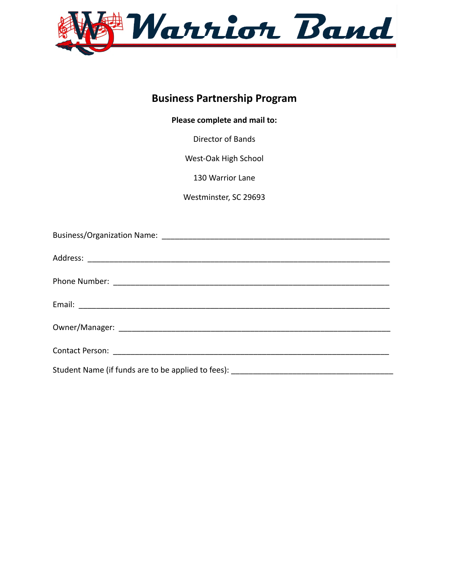

# **Business Partnership Program**

#### **Please complete and mail to:**

Director of Bands

West-Oak High School

130 Warrior Lane

Westminster, SC 29693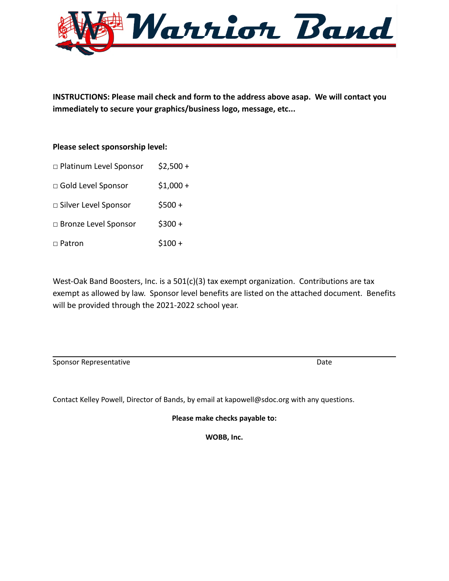

**INSTRUCTIONS: Please mail check and form to the address above asap. We will contact you immediately to secure your graphics/business logo, message, etc...**

#### **Please select sponsorship level:**

| □ Platinum Level Sponsor | $$2,500+$ |
|--------------------------|-----------|
| □ Gold Level Sponsor     | $$1,000+$ |
| □ Silver Level Sponsor   | $$500 +$  |
| □ Bronze Level Sponsor   | $$300 +$  |
| □ Patron                 | $$100 +$  |

West-Oak Band Boosters, Inc. is a 501(c)(3) tax exempt organization. Contributions are tax exempt as allowed by law. Sponsor level benefits are listed on the attached document. Benefits will be provided through the 2021-2022 school year.

Sponsor Representative and the Date of the Date of the Date of the Date of the Date of the Date of the Date of the Date of the Date of the Date of the Date of the Date of the Date of the Date of the Date of the Date of the

Contact Kelley Powell, Director of Bands, by email at kapowell@sdoc.org with any questions.

**Please make checks payable to:**

**WOBB, Inc.**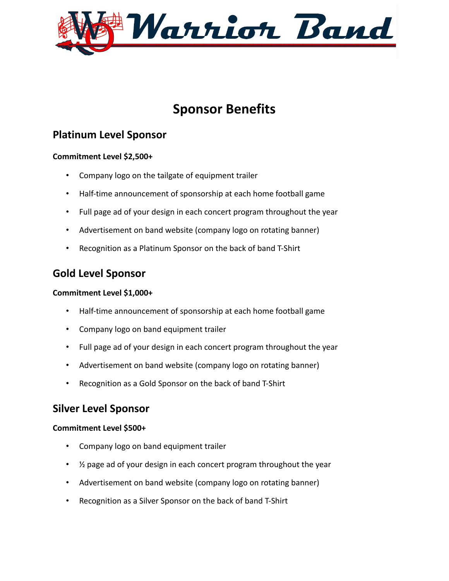

# **Sponsor Benefits**

# **Platinum Level Sponsor**

#### **Commitment Level \$2,500+**

- Company logo on the tailgate of equipment trailer
- Half-time announcement of sponsorship at each home football game
- Full page ad of your design in each concert program throughout the year
- Advertisement on band website (company logo on rotating banner)
- Recognition as a Platinum Sponsor on the back of band T-Shirt

# **Gold Level Sponsor**

#### **Commitment Level \$1,000+**

- Half-time announcement of sponsorship at each home football game
- Company logo on band equipment trailer
- Full page ad of your design in each concert program throughout the year
- Advertisement on band website (company logo on rotating banner)
- Recognition as a Gold Sponsor on the back of band T-Shirt

### **Silver Level Sponsor**

#### **Commitment Level \$500+**

- Company logo on band equipment trailer
- ½ page ad of your design in each concert program throughout the year
- Advertisement on band website (company logo on rotating banner)
- Recognition as a Silver Sponsor on the back of band T-Shirt